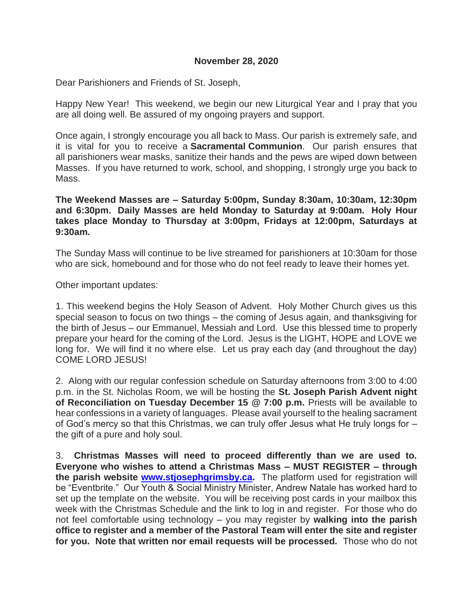#### **November 28, 2020**

Dear Parishioners and Friends of St. Joseph,

Happy New Year! This weekend, we begin our new Liturgical Year and I pray that you are all doing well. Be assured of my ongoing prayers and support.

Once again, I strongly encourage you all back to Mass. Our parish is extremely safe, and it is vital for you to receive a **Sacramental Communion**. Our parish ensures that all parishioners wear masks, sanitize their hands and the pews are wiped down between Masses. If you have returned to work, school, and shopping, I strongly urge you back to Mass.

#### **The Weekend Masses are – Saturday 5:00pm, Sunday 8:30am, 10:30am, 12:30pm and 6:30pm. Daily Masses are held Monday to Saturday at 9:00am. Holy Hour takes place Monday to Thursday at 3:00pm, Fridays at 12:00pm, Saturdays at 9:30am.**

The Sunday Mass will continue to be live streamed for parishioners at 10:30am for those who are sick, homebound and for those who do not feel ready to leave their homes yet.

Other important updates:

1. This weekend begins the Holy Season of Advent. Holy Mother Church gives us this special season to focus on two things – the coming of Jesus again, and thanksgiving for the birth of Jesus – our Emmanuel, Messiah and Lord. Use this blessed time to properly prepare your heard for the coming of the Lord. Jesus is the LIGHT, HOPE and LOVE we long for. We will find it no where else. Let us pray each day (and throughout the day) COME LORD JESUS!

2. Along with our regular confession schedule on Saturday afternoons from 3:00 to 4:00 p.m. in the St. Nicholas Room, we will be hosting the **St. Joseph Parish Advent night of Reconciliation on Tuesday December 15 @ 7:00 p.m.** Priests will be available to hear confessions in a variety of languages. Please avail yourself to the healing sacrament of God's mercy so that this Christmas, we can truly offer Jesus what He truly longs for – the gift of a pure and holy soul.

3. **Christmas Masses will need to proceed differently than we are used to. Everyone who wishes to attend a Christmas Mass – MUST REGISTER – through the parish website [www.stjosephgrimsby.ca.](http://www.stjosephgrimsby.ca/)** The platform used for registration will be "Eventbrite." Our Youth & Social Ministry Minister, Andrew Natale has worked hard to set up the template on the website. You will be receiving post cards in your mailbox this week with the Christmas Schedule and the link to log in and register. For those who do not feel comfortable using technology – you may register by **walking into the parish office to register and a member of the Pastoral Team will enter the site and register for you. Note that written nor email requests will be processed.** Those who do not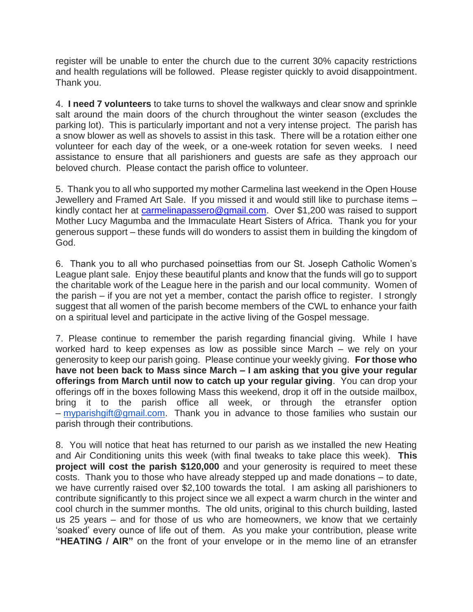register will be unable to enter the church due to the current 30% capacity restrictions and health regulations will be followed. Please register quickly to avoid disappointment. Thank you.

4. **I need 7 volunteers** to take turns to shovel the walkways and clear snow and sprinkle salt around the main doors of the church throughout the winter season (excludes the parking lot). This is particularly important and not a very intense project. The parish has a snow blower as well as shovels to assist in this task. There will be a rotation either one volunteer for each day of the week, or a one-week rotation for seven weeks. I need assistance to ensure that all parishioners and guests are safe as they approach our beloved church. Please contact the parish office to volunteer.

5. Thank you to all who supported my mother Carmelina last weekend in the Open House Jewellery and Framed Art Sale. If you missed it and would still like to purchase items – kindly contact her at [carmelinapassero@gmail.com.](mailto:carmelinapassero@gmail.com) Over \$1,200 was raised to support Mother Lucy Magumba and the Immaculate Heart Sisters of Africa. Thank you for your generous support – these funds will do wonders to assist them in building the kingdom of God.

6. Thank you to all who purchased poinsettias from our St. Joseph Catholic Women's League plant sale. Enjoy these beautiful plants and know that the funds will go to support the charitable work of the League here in the parish and our local community. Women of the parish – if you are not yet a member, contact the parish office to register. I strongly suggest that all women of the parish become members of the CWL to enhance your faith on a spiritual level and participate in the active living of the Gospel message.

7. Please continue to remember the parish regarding financial giving. While I have worked hard to keep expenses as low as possible since March – we rely on your generosity to keep our parish going. Please continue your weekly giving. **For those who have not been back to Mass since March – I am asking that you give your regular offerings from March until now to catch up your regular giving**. You can drop your offerings off in the boxes following Mass this weekend, drop it off in the outside mailbox, bring it to the parish office all week, or through the etransfer option – [myparishgift@gmail.com.](mailto:myparishgift@gmail.com) Thank you in advance to those families who sustain our parish through their contributions.

8. You will notice that heat has returned to our parish as we installed the new Heating and Air Conditioning units this week (with final tweaks to take place this week). **This project will cost the parish \$120,000** and your generosity is required to meet these costs. Thank you to those who have already stepped up and made donations – to date, we have currently raised over \$2,100 towards the total. I am asking all parishioners to contribute significantly to this project since we all expect a warm church in the winter and cool church in the summer months. The old units, original to this church building, lasted us 25 years – and for those of us who are homeowners, we know that we certainly 'soaked' every ounce of life out of them. As you make your contribution, please write **"HEATING / AIR"** on the front of your envelope or in the memo line of an etransfer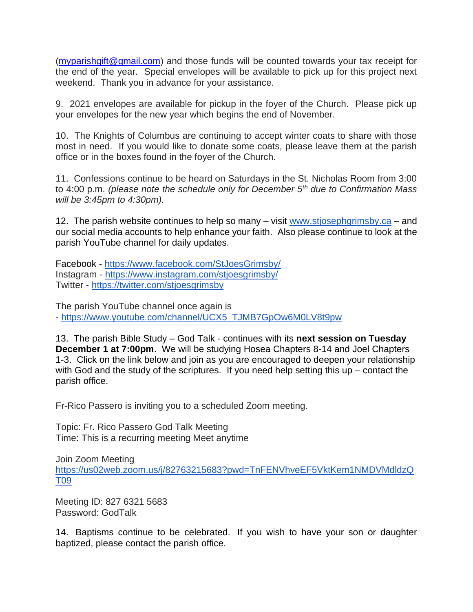[\(myparishgift@gmail.com\)](mailto:myparishgift@gmail.com) and those funds will be counted towards your tax receipt for the end of the year. Special envelopes will be available to pick up for this project next weekend. Thank you in advance for your assistance.

9. 2021 envelopes are available for pickup in the foyer of the Church. Please pick up your envelopes for the new year which begins the end of November.

10. The Knights of Columbus are continuing to accept winter coats to share with those most in need. If you would like to donate some coats, please leave them at the parish office or in the boxes found in the foyer of the Church.

11. Confessions continue to be heard on Saturdays in the St. Nicholas Room from 3:00 to 4:00 p.m. *(please note the schedule only for December 5th due to Confirmation Mass will be 3:45pm to 4:30pm).*

12. The parish website continues to help so many – visit [www.stjosephgrimsby.ca](http://www.stjosephgrimsby.ca/) – and our social media accounts to help enhance your faith. Also please continue to look at the parish YouTube channel for daily updates.

Facebook - <https://www.facebook.com/StJoesGrimsby/> Instagram - <https://www.instagram.com/stjoesgrimsby/> Twitter - <https://twitter.com/stjoesgrimsby>

The parish YouTube channel once again is - [https://www.youtube.com/channel/UCX5\\_TJMB7GpOw6M0LV8t9pw](https://www.youtube.com/channel/UCX5_TJMB7GpOw6M0LV8t9pw)

13. The parish Bible Study – God Talk - continues with its **next session on Tuesday December 1 at 7:00pm**. We will be studying Hosea Chapters 8-14 and Joel Chapters 1-3. Click on the link below and join as you are encouraged to deepen your relationship with God and the study of the scriptures. If you need help setting this up – contact the parish office.

Fr-Rico Passero is inviting you to a scheduled Zoom meeting.

Topic: Fr. Rico Passero God Talk Meeting Time: This is a recurring meeting Meet anytime

Join Zoom Meeting [https://us02web.zoom.us/j/82763215683?pwd=TnFENVhveEF5VktKem1NMDVMdldzQ](https://us02web.zoom.us/j/82763215683?pwd=TnFENVhveEF5VktKem1NMDVMdldzQT09) [T09](https://us02web.zoom.us/j/82763215683?pwd=TnFENVhveEF5VktKem1NMDVMdldzQT09)

Meeting ID: 827 6321 5683 Password: GodTalk

14. Baptisms continue to be celebrated. If you wish to have your son or daughter baptized, please contact the parish office.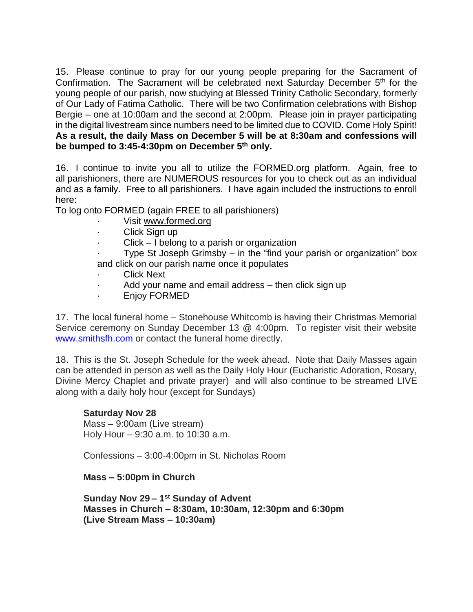15. Please continue to pray for our young people preparing for the Sacrament of Confirmation. The Sacrament will be celebrated next Saturday December 5<sup>th</sup> for the young people of our parish, now studying at Blessed Trinity Catholic Secondary, formerly of Our Lady of Fatima Catholic. There will be two Confirmation celebrations with Bishop Bergie – one at 10:00am and the second at 2:00pm. Please join in prayer participating in the digital livestream since numbers need to be limited due to COVID. Come Holy Spirit! **As a result, the daily Mass on December 5 will be at 8:30am and confessions will be bumped to 3:45-4:30pm on December 5th only.** 

16. I continue to invite you all to utilize the FORMED.org platform. Again, free to all parishioners, there are NUMEROUS resources for you to check out as an individual and as a family. Free to all parishioners. I have again included the instructions to enroll here:

To log onto FORMED (again FREE to all parishioners)

- Visit [www.formed.org](http://www.formed.org/)
- · Click Sign up
- $Click I belong to a parish or organization$

Type St Joseph Grimsby  $-$  in the "find your parish or organization" box and click on our parish name once it populates

- **Click Next**
- Add your name and email address then click sign up
- · Enjoy FORMED

17. The local funeral home – Stonehouse Whitcomb is having their Christmas Memorial Service ceremony on Sunday December 13 @ 4:00pm. To register visit their website [www.smithsfh.com](http://www.smithsfh.com/) or contact the funeral home directly.

18. This is the St. Joseph Schedule for the week ahead. Note that Daily Masses again can be attended in person as well as the Daily Holy Hour (Eucharistic Adoration, Rosary, Divine Mercy Chaplet and private prayer) and will also continue to be streamed LIVE along with a daily holy hour (except for Sundays)

### **Saturday Nov 28**

Mass – 9:00am (Live stream) Holy Hour – 9:30 a.m. to 10:30 a.m.

Confessions – 3:00-4:00pm in St. Nicholas Room

### **Mass – 5:00pm in Church**

**Sunday Nov 29 – 1 st Sunday of Advent Masses in Church – 8:30am, 10:30am, 12:30pm and 6:30pm (Live Stream Mass – 10:30am)**